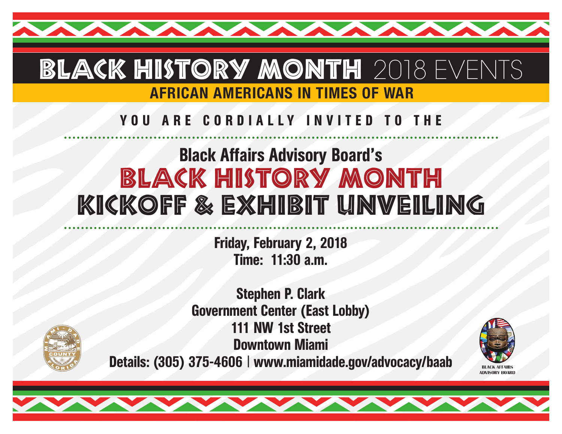# BLACK HISTORY MONTH 2018 EVENTS AFRICAN AMERICANS IN TIMES OF WAR

# YOU ARE CORDIALLY INVITED TO THE

# Black Affairs Advisory Board's BLACK HISTORY MONTH KICKOFF & EXHIBIT UNVEILING

Friday, February 2, 2018 Time: 11:30 a.m.



Stephen P. Clark Government Center (East Lobby) 111 NW 1st Street Downtown Miami Details: (305) 375-4606 | www.miamidade.gov/advocacy/baab